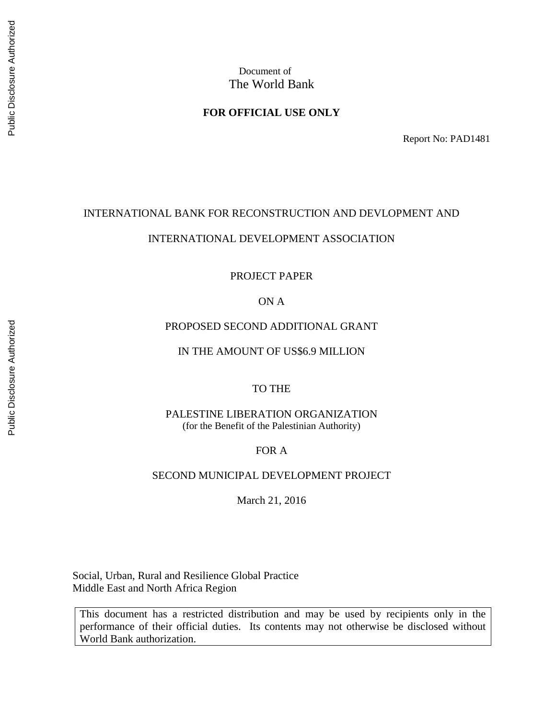### **FOR OFFICIAL USE ONLY**

Report No: PAD1481

### INTERNATIONAL BANK FOR RECONSTRUCTION AND DEVLOPMENT AND

#### INTERNATIONAL DEVELOPMENT ASSOCIATION

#### PROJECT PAPER

# ON A

### PROPOSED SECOND ADDITIONAL GRANT

#### IN THE AMOUNT OF US\$6.9 MILLION

### TO THE

PALESTINE LIBERATION ORGANIZATION (for the Benefit of the Palestinian Authority)

### FOR A

#### SECOND MUNICIPAL DEVELOPMENT PROJECT

March 21, 2016

Social, Urban, Rural and Resilience Global Practice Middle East and North Africa Region

This document has a restricted distribution and may be used by recipients only in the performance of their official duties. Its contents may not otherwise be disclosed without World Bank authorization.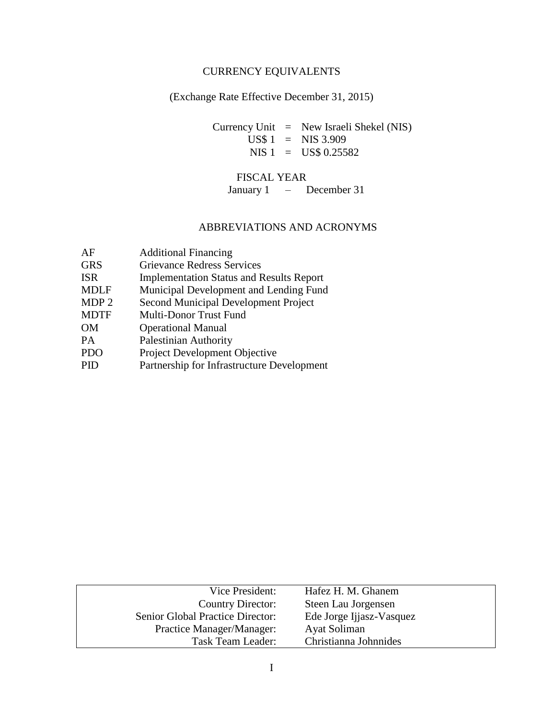# CURRENCY EQUIVALENTS

# (Exchange Rate Effective December 31, 2015)

Currency Unit = New Israeli Shekel (NIS)  $\text{US}$ \$ 1 = NIS 3.909 NIS 1 = US\$ 0.25582

# FISCAL YEAR

January 1 – December 31

# ABBREVIATIONS AND ACRONYMS

| AF               | <b>Additional Financing</b>                     |
|------------------|-------------------------------------------------|
| <b>GRS</b>       | <b>Grievance Redress Services</b>               |
| <b>ISR</b>       | <b>Implementation Status and Results Report</b> |
| <b>MDLF</b>      | Municipal Development and Lending Fund          |
| MDP <sub>2</sub> | Second Municipal Development Project            |
| <b>MDTF</b>      | Multi-Donor Trust Fund                          |
| OМ               | <b>Operational Manual</b>                       |
| PA.              | <b>Palestinian Authority</b>                    |
| <b>PDO</b>       | Project Development Objective                   |
| PID              | Partnership for Infrastructure Development      |
|                  |                                                 |

| Vice President:                  | Hafez H. M. Ghanem       |
|----------------------------------|--------------------------|
| Country Director:                | Steen Lau Jorgensen      |
| Senior Global Practice Director: | Ede Jorge Ijjasz-Vasquez |
| Practice Manager/Manager:        | Ayat Soliman             |
| Task Team Leader:                | Christianna Johnnides    |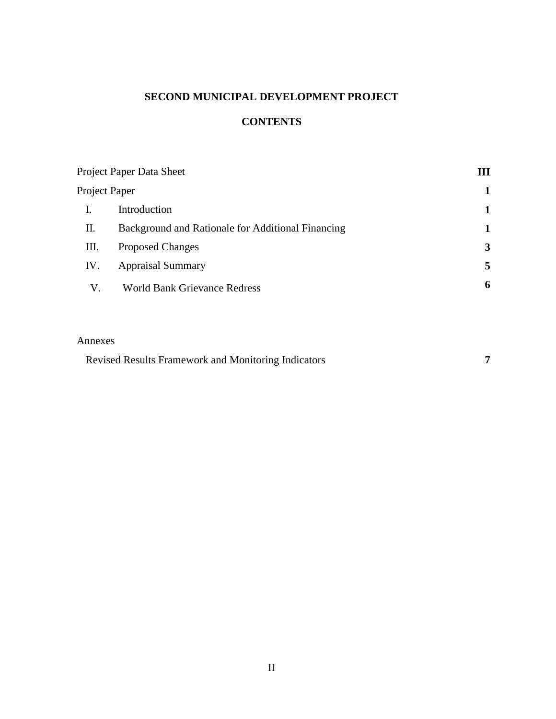# **SECOND MUNICIPAL DEVELOPMENT PROJECT**

# **CONTENTS**

| Project Paper Data Sheet | Ш                                                 |   |
|--------------------------|---------------------------------------------------|---|
| Project Paper            |                                                   |   |
|                          | Introduction                                      |   |
| П.                       | Background and Rationale for Additional Financing | 1 |
| III.                     | <b>Proposed Changes</b>                           | 3 |
| IV.                      | <b>Appraisal Summary</b>                          | 5 |
| V.                       | <b>World Bank Grievance Redress</b>               | 6 |

### Annexes

| <b>Revised Results Framework and Monitoring Indicators</b> |  |
|------------------------------------------------------------|--|
|------------------------------------------------------------|--|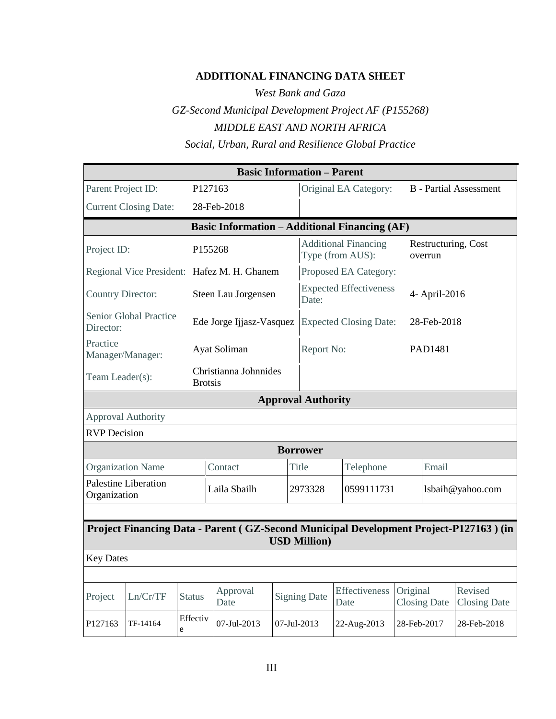# **ADDITIONAL FINANCING DATA SHEET**

*West Bank and Gaza GZ-Second Municipal Development Project AF (P155268) MIDDLE EAST AND NORTH AFRICA Social, Urban, Rural and Resilience Global Practice*

| <b>Basic Information - Parent</b>                                                                             |                                                      |                |                                             |  |                           |                                                            |             |                     |                                |  |  |
|---------------------------------------------------------------------------------------------------------------|------------------------------------------------------|----------------|---------------------------------------------|--|---------------------------|------------------------------------------------------------|-------------|---------------------|--------------------------------|--|--|
| Parent Project ID:                                                                                            |                                                      |                | P127163                                     |  |                           | Original EA Category:                                      |             |                     | <b>B</b> - Partial Assessment  |  |  |
|                                                                                                               | <b>Current Closing Date:</b>                         |                | 28-Feb-2018                                 |  |                           |                                                            |             |                     |                                |  |  |
|                                                                                                               | <b>Basic Information - Additional Financing (AF)</b> |                |                                             |  |                           |                                                            |             |                     |                                |  |  |
| Project ID:                                                                                                   |                                                      |                | P155268                                     |  |                           | <b>Additional Financing</b><br>Type (from AUS):<br>overrun |             |                     | Restructuring, Cost            |  |  |
|                                                                                                               |                                                      |                | Regional Vice President: Hafez M. H. Ghanem |  |                           | Proposed EA Category:                                      |             |                     |                                |  |  |
| <b>Country Director:</b>                                                                                      |                                                      |                | Steen Lau Jorgensen                         |  | Date:                     | <b>Expected Effectiveness</b>                              |             | 4- April-2016       |                                |  |  |
| Director:                                                                                                     | Senior Global Practice                               |                | Ede Jorge Ijjasz-Vasquez                    |  |                           | <b>Expected Closing Date:</b>                              |             | 28-Feb-2018         |                                |  |  |
| Practice<br>Manager/Manager:                                                                                  |                                                      |                | Ayat Soliman                                |  |                           | Report No:                                                 |             |                     | PAD1481                        |  |  |
| Team Leader(s):                                                                                               |                                                      | <b>Brotsis</b> | Christianna Johnnides                       |  |                           |                                                            |             |                     |                                |  |  |
|                                                                                                               |                                                      |                |                                             |  | <b>Approval Authority</b> |                                                            |             |                     |                                |  |  |
|                                                                                                               | Approval Authority                                   |                |                                             |  |                           |                                                            |             |                     |                                |  |  |
| <b>RVP</b> Decision                                                                                           |                                                      |                |                                             |  |                           |                                                            |             |                     |                                |  |  |
|                                                                                                               |                                                      |                |                                             |  | <b>Borrower</b>           |                                                            |             |                     |                                |  |  |
|                                                                                                               | <b>Organization Name</b>                             |                | Contact                                     |  | <b>Title</b>              | Telephone                                                  |             | Email               |                                |  |  |
| Organization                                                                                                  | <b>Palestine Liberation</b>                          |                | Laila Sbailh                                |  | 2973328                   | 0599111731                                                 |             | lsbaih@yahoo.com    |                                |  |  |
|                                                                                                               |                                                      |                |                                             |  |                           |                                                            |             |                     |                                |  |  |
| Project Financing Data - Parent (GZ-Second Municipal Development Project-P127163) (in<br><b>USD Million</b> ) |                                                      |                |                                             |  |                           |                                                            |             |                     |                                |  |  |
| <b>Key Dates</b>                                                                                              |                                                      |                |                                             |  |                           |                                                            |             |                     |                                |  |  |
|                                                                                                               |                                                      |                |                                             |  |                           |                                                            |             |                     |                                |  |  |
| Project                                                                                                       | Ln/Cr/TF                                             | <b>Status</b>  | Approval<br>Date                            |  | <b>Signing Date</b>       | Effectiveness<br>Date                                      | Original    | <b>Closing Date</b> | Revised<br><b>Closing Date</b> |  |  |
| P127163                                                                                                       | TF-14164                                             | Effectiv<br>e  | 07-Jul-2013                                 |  | 07-Jul-2013               | 22-Aug-2013                                                | 28-Feb-2017 |                     | 28-Feb-2018                    |  |  |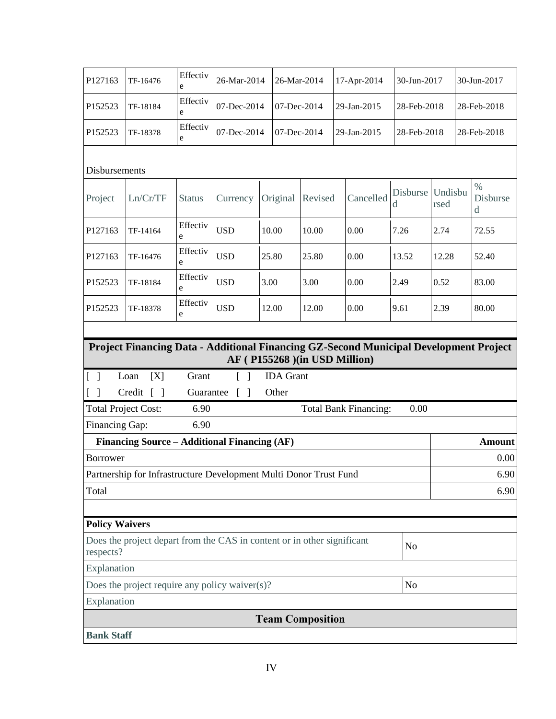| P127163                                                                                                | TF-16476                                                                                             | Effectiv<br>e |                                 | 26-Mar-2014<br>26-Mar-2014 |                  |                               | 17-Apr-2014 |                              | 30-Jun-2017   |                 | 30-Jun-2017 |                                          |
|--------------------------------------------------------------------------------------------------------|------------------------------------------------------------------------------------------------------|---------------|---------------------------------|----------------------------|------------------|-------------------------------|-------------|------------------------------|---------------|-----------------|-------------|------------------------------------------|
| P152523                                                                                                | TF-18184                                                                                             | Effectiv<br>e | 07-Dec-2014                     | 07-Dec-2014                |                  |                               | 29-Jan-2015 |                              | 28-Feb-2018   |                 | 28-Feb-2018 |                                          |
| P152523                                                                                                | TF-18378                                                                                             | Effectiv<br>e | 07-Dec-2014                     | 07-Dec-2014                |                  |                               |             | 29-Jan-2015                  | 28-Feb-2018   |                 |             | 28-Feb-2018                              |
| Disbursements                                                                                          |                                                                                                      |               |                                 |                            |                  |                               |             |                              |               |                 |             |                                          |
| Project                                                                                                | Ln/Cr/TF                                                                                             | <b>Status</b> | Currency                        |                            | Original         | Revised                       |             | Cancelled                    | Disburse<br>d | Undisbu<br>rsed |             | $\frac{0}{0}$<br>Disburse<br>$\mathbf d$ |
| P127163                                                                                                | TF-14164                                                                                             | Effectiv<br>e | <b>USD</b>                      | 10.00                      |                  | 10.00                         |             | 0.00                         | 7.26          | 2.74            |             | 72.55                                    |
| P127163                                                                                                | TF-16476                                                                                             | Effectiv<br>e | <b>USD</b>                      | 25.80                      |                  | 25.80                         |             | 0.00                         | 13.52         | 12.28           |             | 52.40                                    |
| P152523                                                                                                | TF-18184                                                                                             | Effectiv<br>e | <b>USD</b>                      | 3.00                       |                  | 3.00                          |             | 0.00                         | 2.49          | 0.52            |             | 83.00                                    |
| P152523                                                                                                | TF-18378                                                                                             | Effectiv<br>e | <b>USD</b>                      | 12.00                      |                  | 12.00                         |             | 0.00                         | 9.61          | 2.39            |             | 80.00                                    |
| $\begin{bmatrix} 1 \end{bmatrix}$                                                                      | Project Financing Data - Additional Financing GZ-Second Municipal Development Project<br>[X]<br>Loan | Grant         |                                 |                            | <b>IDA</b> Grant | AF (P155268) (in USD Million) |             |                              |               |                 |             |                                          |
| $\begin{bmatrix} 1 \end{bmatrix}$                                                                      | Credit [ ]                                                                                           | Guarantee     | $\begin{bmatrix} \end{bmatrix}$ |                            | Other            |                               |             |                              |               |                 |             |                                          |
| <b>Total Project Cost:</b><br>Financing Gap:                                                           |                                                                                                      | 6.90<br>6.90  |                                 |                            |                  |                               |             | <b>Total Bank Financing:</b> | 0.00          |                 |             |                                          |
|                                                                                                        | Financing Source – Additional Financing (AF)                                                         |               |                                 |                            |                  |                               |             |                              |               |                 |             | <b>Amount</b>                            |
| Borrower                                                                                               |                                                                                                      |               |                                 |                            |                  |                               |             |                              |               |                 |             | 0.00                                     |
|                                                                                                        | Partnership for Infrastructure Development Multi Donor Trust Fund                                    |               |                                 |                            |                  |                               |             |                              |               | 6.90            |             |                                          |
| Total                                                                                                  |                                                                                                      |               |                                 |                            |                  |                               |             |                              |               |                 |             | 6.90                                     |
| <b>Policy Waivers</b>                                                                                  |                                                                                                      |               |                                 |                            |                  |                               |             |                              |               |                 |             |                                          |
| Does the project depart from the CAS in content or in other significant<br>N <sub>o</sub><br>respects? |                                                                                                      |               |                                 |                            |                  |                               |             |                              |               |                 |             |                                          |
| Explanation                                                                                            |                                                                                                      |               |                                 |                            |                  |                               |             |                              |               |                 |             |                                          |
|                                                                                                        | No<br>Does the project require any policy waiver(s)?                                                 |               |                                 |                            |                  |                               |             |                              |               |                 |             |                                          |
| Explanation                                                                                            |                                                                                                      |               |                                 |                            |                  |                               |             |                              |               |                 |             |                                          |
|                                                                                                        |                                                                                                      |               |                                 |                            |                  | <b>Team Composition</b>       |             |                              |               |                 |             |                                          |
| <b>Bank Staff</b>                                                                                      |                                                                                                      |               |                                 |                            |                  |                               |             |                              |               |                 |             |                                          |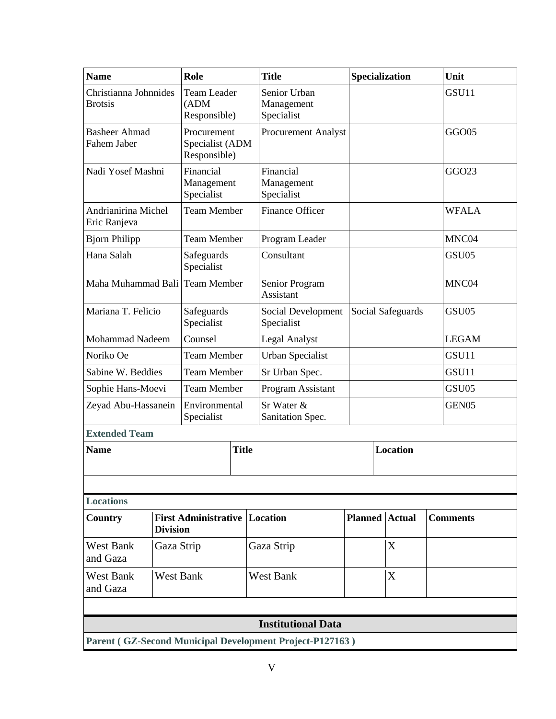| <b>Name</b>                                              |                                   | Role                                           |              |  | <b>Title</b>                             |  | Specialization    |                       |  | Unit              |
|----------------------------------------------------------|-----------------------------------|------------------------------------------------|--------------|--|------------------------------------------|--|-------------------|-----------------------|--|-------------------|
| Christianna Johnnides<br><b>Brotsis</b>                  |                                   | <b>Team Leader</b><br>(ADM)<br>Responsible)    |              |  | Senior Urban<br>Management<br>Specialist |  |                   |                       |  | GSU11             |
| <b>Basheer Ahmad</b><br>Fahem Jaber                      |                                   | Procurement<br>Specialist (ADM<br>Responsible) |              |  | <b>Procurement Analyst</b>               |  |                   |                       |  | GGO05             |
| Nadi Yosef Mashni                                        |                                   | Financial<br>Management<br>Specialist          |              |  | Financial<br>Management<br>Specialist    |  |                   |                       |  | GGO <sub>23</sub> |
| Andrianirina Michel<br>Eric Ranjeva                      |                                   | <b>Team Member</b>                             |              |  | <b>Finance Officer</b>                   |  |                   |                       |  | <b>WFALA</b>      |
| <b>Bjorn Philipp</b>                                     |                                   | <b>Team Member</b>                             |              |  | Program Leader                           |  |                   |                       |  | MNC04             |
| Hana Salah                                               |                                   | Safeguards<br>Specialist                       |              |  | Consultant                               |  |                   |                       |  | GSU05             |
| Maha Muhammad Bali Team Member                           |                                   |                                                |              |  | Senior Program<br><b>Assistant</b>       |  |                   |                       |  | MNC04             |
| Mariana T. Felicio                                       | Safeguards<br>Specialist          |                                                |              |  | Social Development<br>Specialist         |  | Social Safeguards |                       |  | GSU05             |
|                                                          | <b>Mohammad Nadeem</b><br>Counsel |                                                |              |  | <b>Legal Analyst</b>                     |  |                   |                       |  | <b>LEGAM</b>      |
| Noriko Oe                                                | <b>Team Member</b>                |                                                |              |  | <b>Urban Specialist</b>                  |  |                   |                       |  | GSU11             |
| Sabine W. Beddies                                        |                                   | <b>Team Member</b>                             |              |  | Sr Urban Spec.                           |  |                   |                       |  | GSU11             |
| Sophie Hans-Moevi                                        |                                   | <b>Team Member</b>                             |              |  | Program Assistant                        |  |                   |                       |  | GSU05             |
| Zeyad Abu-Hassanein                                      |                                   | Environmental<br>Specialist                    |              |  | Sr Water &<br>Sanitation Spec.           |  |                   |                       |  | GEN <sub>05</sub> |
| <b>Extended Team</b>                                     |                                   |                                                |              |  |                                          |  |                   |                       |  |                   |
| <b>Name</b>                                              |                                   |                                                | <b>Title</b> |  |                                          |  |                   | <b>Location</b>       |  |                   |
|                                                          |                                   |                                                |              |  |                                          |  |                   |                       |  |                   |
|                                                          |                                   |                                                |              |  |                                          |  |                   |                       |  |                   |
| <b>Locations</b>                                         |                                   |                                                |              |  |                                          |  |                   |                       |  |                   |
| Country                                                  | <b>Division</b>                   | <b>First Administrative Location</b>           |              |  |                                          |  |                   | <b>Planned</b> Actual |  | <b>Comments</b>   |
| <b>West Bank</b><br>and Gaza                             | Gaza Strip                        |                                                |              |  | Gaza Strip                               |  |                   | X                     |  |                   |
| <b>West Bank</b><br>and Gaza                             |                                   | <b>West Bank</b>                               |              |  | <b>West Bank</b>                         |  |                   | X                     |  |                   |
|                                                          |                                   |                                                |              |  |                                          |  |                   |                       |  |                   |
| <b>Institutional Data</b>                                |                                   |                                                |              |  |                                          |  |                   |                       |  |                   |
| Parent (GZ-Second Municipal Development Project-P127163) |                                   |                                                |              |  |                                          |  |                   |                       |  |                   |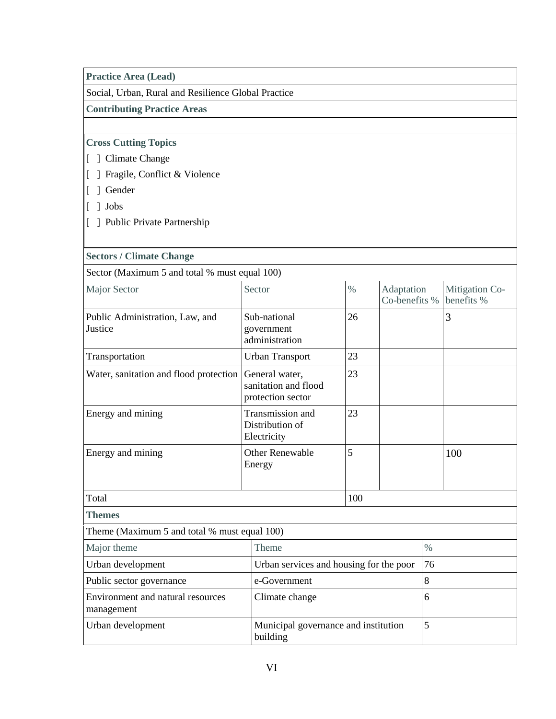### **Practice Area (Lead)**

Social, Urban, Rural and Resilience Global Practice

**Contributing Practice Areas**

# **Cross Cutting Topics**

- [ ] Climate Change
- [ ] Fragile, Conflict & Violence
- [ ] Gender
- [ ] Jobs
- [ ] Public Private Partnership

### **Sectors / Climate Change**

Sector (Maximum 5 and total % must equal 100)

| Major Sector                               | Sector                                                      | $\%$ | Adaptation<br>Co-benefits % | Mitigation Co-<br>benefits % |  |
|--------------------------------------------|-------------------------------------------------------------|------|-----------------------------|------------------------------|--|
| Public Administration, Law, and<br>Justice | Sub-national<br>government<br>administration                | 26   |                             | 3                            |  |
| Transportation                             | Urban Transport                                             | 23   |                             |                              |  |
| Water, sanitation and flood protection     | General water,<br>sanitation and flood<br>protection sector | 23   |                             |                              |  |
| Energy and mining                          | Transmission and<br>Distribution of<br>Electricity          | 23   |                             |                              |  |
| Energy and mining                          | <b>Other Renewable</b><br>Energy                            | 5    |                             | 100                          |  |
|                                            |                                                             |      |                             |                              |  |
| Total                                      |                                                             | 100  |                             |                              |  |
| <b>Themes</b>                              |                                                             |      |                             |                              |  |

Theme (Maximum 5 and total % must equal 100)

| Major theme                                     | <b>Theme</b>                                     | $\%$ |
|-------------------------------------------------|--------------------------------------------------|------|
| Urban development                               | Urban services and housing for the poor          | 76   |
| Public sector governance                        | e-Government                                     |      |
| Environment and natural resources<br>management | Climate change                                   |      |
| Urban development                               | Municipal governance and institution<br>building |      |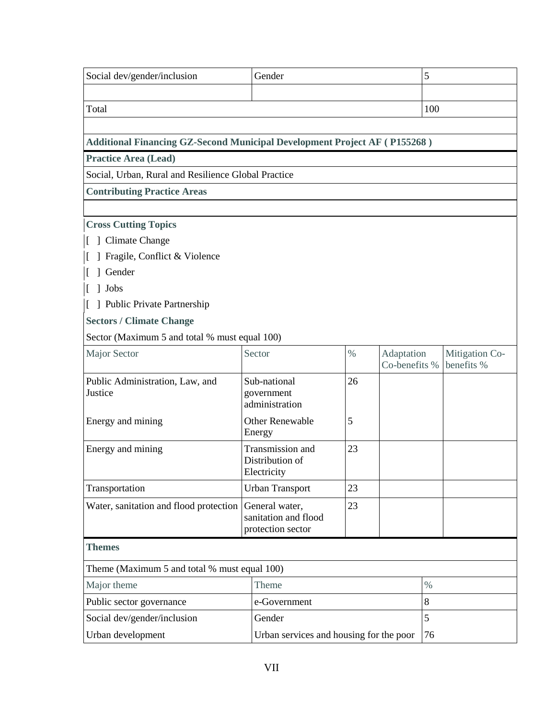| Social dev/gender/inclusion                                                      |  | Gender                                                      |      |                             | 5   |                              |  |
|----------------------------------------------------------------------------------|--|-------------------------------------------------------------|------|-----------------------------|-----|------------------------------|--|
| Total                                                                            |  |                                                             |      |                             | 100 |                              |  |
| <b>Additional Financing GZ-Second Municipal Development Project AF (P155268)</b> |  |                                                             |      |                             |     |                              |  |
| <b>Practice Area (Lead)</b>                                                      |  |                                                             |      |                             |     |                              |  |
| Social, Urban, Rural and Resilience Global Practice                              |  |                                                             |      |                             |     |                              |  |
| <b>Contributing Practice Areas</b>                                               |  |                                                             |      |                             |     |                              |  |
|                                                                                  |  |                                                             |      |                             |     |                              |  |
| <b>Cross Cutting Topics</b>                                                      |  |                                                             |      |                             |     |                              |  |
| Climate Change                                                                   |  |                                                             |      |                             |     |                              |  |
| Fragile, Conflict & Violence                                                     |  |                                                             |      |                             |     |                              |  |
| Gender                                                                           |  |                                                             |      |                             |     |                              |  |
| ] Jobs                                                                           |  |                                                             |      |                             |     |                              |  |
| [ ] Public Private Partnership                                                   |  |                                                             |      |                             |     |                              |  |
| <b>Sectors / Climate Change</b>                                                  |  |                                                             |      |                             |     |                              |  |
| Sector (Maximum 5 and total % must equal 100)                                    |  |                                                             |      |                             |     |                              |  |
| Major Sector                                                                     |  | Sector                                                      | $\%$ | Adaptation<br>Co-benefits % |     | Mitigation Co-<br>benefits % |  |
| Public Administration, Law, and<br>Justice                                       |  | Sub-national<br>government<br>administration                | 26   |                             |     |                              |  |
| Energy and mining                                                                |  | <b>Other Renewable</b><br>Energy                            | 5    |                             |     |                              |  |
| Energy and mining                                                                |  | 23<br>Transmission and<br>Distribution of<br>Electricity    |      |                             |     |                              |  |
| Transportation                                                                   |  | <b>Urban Transport</b>                                      | 23   |                             |     |                              |  |
| Water, sanitation and flood protection                                           |  | General water,<br>sanitation and flood<br>protection sector | 23   |                             |     |                              |  |
| <b>Themes</b>                                                                    |  |                                                             |      |                             |     |                              |  |
| Theme (Maximum 5 and total % must equal 100)                                     |  |                                                             |      |                             |     |                              |  |
| $\%$<br>Major theme<br>Theme                                                     |  |                                                             |      |                             |     |                              |  |
| Public sector governance                                                         |  | e-Government                                                | 8    |                             |     |                              |  |
| 5<br>Social dev/gender/inclusion<br>Gender                                       |  |                                                             |      |                             |     |                              |  |
| Urban development<br>Urban services and housing for the poor<br>76               |  |                                                             |      |                             |     |                              |  |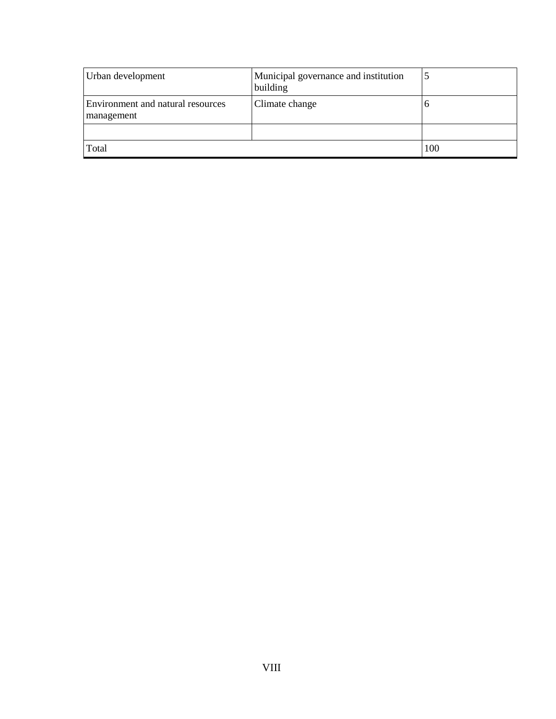| Urban development                               | Municipal governance and institution<br>building |     |
|-------------------------------------------------|--------------------------------------------------|-----|
| Environment and natural resources<br>management | Climate change                                   | U   |
|                                                 |                                                  |     |
| Total                                           |                                                  | 100 |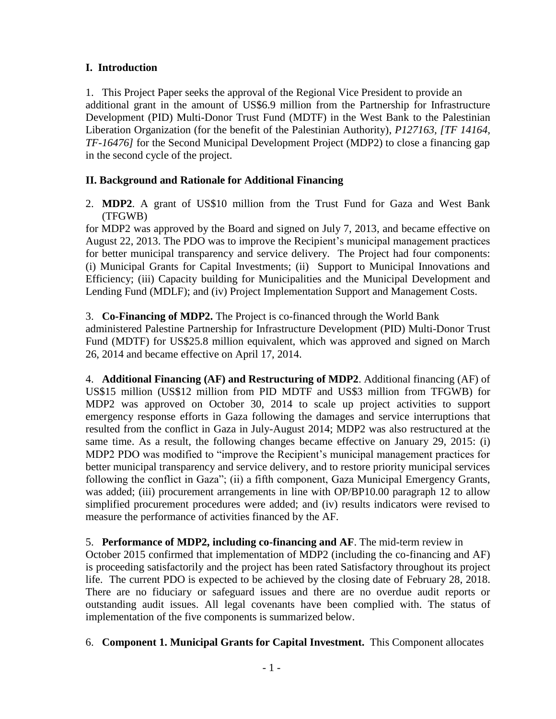# **I. Introduction**

1. This Project Paper seeks the approval of the Regional Vice President to provide an additional grant in the amount of US\$6.9 million from the Partnership for Infrastructure Development (PID) Multi-Donor Trust Fund (MDTF) in the West Bank to the Palestinian Liberation Organization (for the benefit of the Palestinian Authority), *P127163, [TF 14164, TF-16476]* for the Second Municipal Development Project (MDP2) to close a financing gap in the second cycle of the project.

# **II. Background and Rationale for Additional Financing**

2. **MDP2**. A grant of US\$10 million from the Trust Fund for Gaza and West Bank (TFGWB)

for MDP2 was approved by the Board and signed on July 7, 2013, and became effective on August 22, 2013. The PDO was to improve the Recipient's municipal management practices for better municipal transparency and service delivery. The Project had four components: (i) Municipal Grants for Capital Investments; (ii) Support to Municipal Innovations and Efficiency; (iii) Capacity building for Municipalities and the Municipal Development and Lending Fund (MDLF); and (iv) Project Implementation Support and Management Costs.

# 3. **Co-Financing of MDP2.** The Project is co-financed through the World Bank

administered Palestine Partnership for Infrastructure Development (PID) Multi-Donor Trust Fund (MDTF) for US\$25.8 million equivalent, which was approved and signed on March 26, 2014 and became effective on April 17, 2014.

4. **Additional Financing (AF) and Restructuring of MDP2**. Additional financing (AF) of US\$15 million (US\$12 million from PID MDTF and US\$3 million from TFGWB) for MDP2 was approved on October 30, 2014 to scale up project activities to support emergency response efforts in Gaza following the damages and service interruptions that resulted from the conflict in Gaza in July-August 2014; MDP2 was also restructured at the same time. As a result, the following changes became effective on January 29, 2015: (i) MDP2 PDO was modified to "improve the Recipient's municipal management practices for better municipal transparency and service delivery, and to restore priority municipal services following the conflict in Gaza"; (ii) a fifth component, Gaza Municipal Emergency Grants, was added; (iii) procurement arrangements in line with OP/BP10.00 paragraph 12 to allow simplified procurement procedures were added; and (iv) results indicators were revised to measure the performance of activities financed by the AF.

5. **Performance of MDP2, including co-financing and AF**. The mid-term review in October 2015 confirmed that implementation of MDP2 (including the co-financing and AF) is proceeding satisfactorily and the project has been rated Satisfactory throughout its project life. The current PDO is expected to be achieved by the closing date of February 28, 2018. There are no fiduciary or safeguard issues and there are no overdue audit reports or outstanding audit issues. All legal covenants have been complied with. The status of implementation of the five components is summarized below.

6. **Component 1. Municipal Grants for Capital Investment.** This Component allocates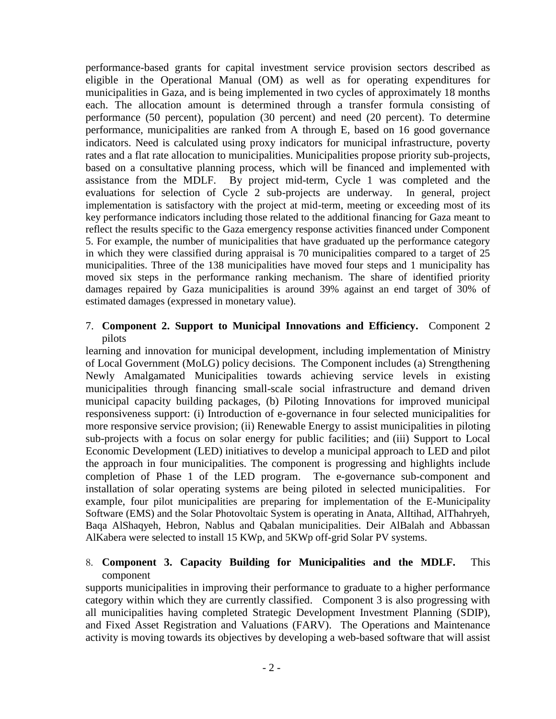performance-based grants for capital investment service provision sectors described as eligible in the Operational Manual (OM) as well as for operating expenditures for municipalities in Gaza, and is being implemented in two cycles of approximately 18 months each. The allocation amount is determined through a transfer formula consisting of performance (50 percent), population (30 percent) and need (20 percent). To determine performance, municipalities are ranked from A through E, based on 16 good governance indicators. Need is calculated using proxy indicators for municipal infrastructure, poverty rates and a flat rate allocation to municipalities. Municipalities propose priority sub-projects, based on a consultative planning process, which will be financed and implemented with assistance from the MDLF. By project mid-term, Cycle 1 was completed and the evaluations for selection of Cycle 2 sub-projects are underway. In general, project implementation is satisfactory with the project at mid-term, meeting or exceeding most of its key performance indicators including those related to the additional financing for Gaza meant to reflect the results specific to the Gaza emergency response activities financed under Component 5. For example, the number of municipalities that have graduated up the performance category in which they were classified during appraisal is 70 municipalities compared to a target of 25 municipalities. Three of the 138 municipalities have moved four steps and 1 municipality has moved six steps in the performance ranking mechanism. The share of identified priority damages repaired by Gaza municipalities is around 39% against an end target of 30% of estimated damages (expressed in monetary value).

### 7. **Component 2. Support to Municipal Innovations and Efficiency.** Component 2 pilots

learning and innovation for municipal development, including implementation of Ministry of Local Government (MoLG) policy decisions. The Component includes (a) Strengthening Newly Amalgamated Municipalities towards achieving service levels in existing municipalities through financing small-scale social infrastructure and demand driven municipal capacity building packages, (b) Piloting Innovations for improved municipal responsiveness support: (i) Introduction of e-governance in four selected municipalities for more responsive service provision; (ii) Renewable Energy to assist municipalities in piloting sub-projects with a focus on solar energy for public facilities; and (iii) Support to Local Economic Development (LED) initiatives to develop a municipal approach to LED and pilot the approach in four municipalities. The component is progressing and highlights include completion of Phase 1 of the LED program. The e-governance sub-component and installation of solar operating systems are being piloted in selected municipalities. For example, four pilot municipalities are preparing for implementation of the E-Municipality Software (EMS) and the Solar Photovoltaic System is operating in Anata, AlItihad, AlThahryeh, Baqa AlShaqyeh, Hebron, Nablus and Qabalan municipalities. Deir AlBalah and Abbassan AlKabera were selected to install 15 KWp, and 5KWp off-grid Solar PV systems.

## 8. **Component 3. Capacity Building for Municipalities and the MDLF.** This component

supports municipalities in improving their performance to graduate to a higher performance category within which they are currently classified. Component 3 is also progressing with all municipalities having completed Strategic Development Investment Planning (SDIP), and Fixed Asset Registration and Valuations (FARV). The Operations and Maintenance activity is moving towards its objectives by developing a web-based software that will assist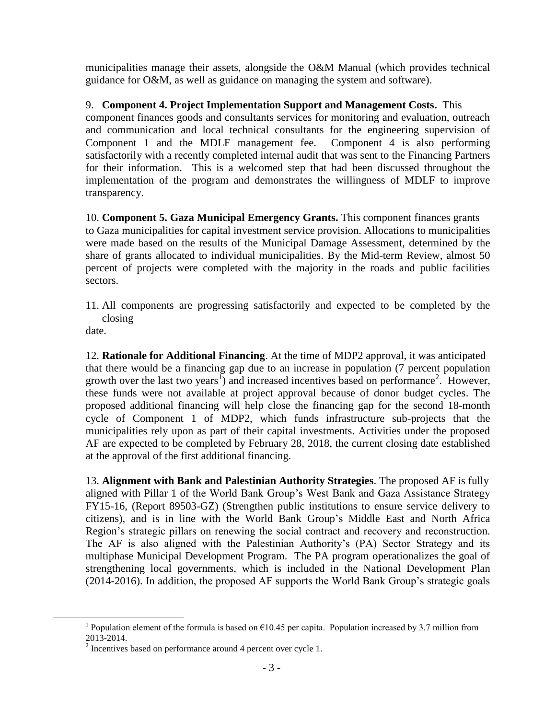municipalities manage their assets, alongside the O&M Manual (which provides technical guidance for O&M, as well as guidance on managing the system and software).

9. **Component 4. Project Implementation Support and Management Costs.** This component finances goods and consultants services for monitoring and evaluation, outreach and communication and local technical consultants for the engineering supervision of Component 1 and the MDLF management fee. Component 4 is also performing satisfactorily with a recently completed internal audit that was sent to the Financing Partners for their information. This is a welcomed step that had been discussed throughout the implementation of the program and demonstrates the willingness of MDLF to improve transparency.

10. **Component 5. Gaza Municipal Emergency Grants.** This component finances grants to Gaza municipalities for capital investment service provision. Allocations to municipalities were made based on the results of the Municipal Damage Assessment, determined by the share of grants allocated to individual municipalities. By the Mid-term Review, almost 50 percent of projects were completed with the majority in the roads and public facilities sectors.

11. All components are progressing satisfactorily and expected to be completed by the closing

date.

 $\overline{a}$ 

12. **Rationale for Additional Financing**. At the time of MDP2 approval, it was anticipated that there would be a financing gap due to an increase in population (7 percent population growth over the last two years<sup>1</sup>) and increased incentives based on performance<sup>2</sup>. However, these funds were not available at project approval because of donor budget cycles. The proposed additional financing will help close the financing gap for the second 18-month cycle of Component 1 of MDP2, which funds infrastructure sub-projects that the municipalities rely upon as part of their capital investments. Activities under the proposed AF are expected to be completed by February 28, 2018, the current closing date established at the approval of the first additional financing.

13. **Alignment with Bank and Palestinian Authority Strategies**. The proposed AF is fully aligned with Pillar 1 of the World Bank Group's West Bank and Gaza Assistance Strategy FY15-16, (Report 89503-GZ) (Strengthen public institutions to ensure service delivery to citizens), and is in line with the World Bank Group's Middle East and North Africa Region's strategic pillars on renewing the social contract and recovery and reconstruction. The AF is also aligned with the Palestinian Authority's (PA) Sector Strategy and its multiphase Municipal Development Program. The PA program operationalizes the goal of strengthening local governments, which is included in the National Development Plan (2014-2016). In addition, the proposed AF supports the World Bank Group's strategic goals

<sup>&</sup>lt;sup>1</sup> Population element of the formula is based on  $\epsilon$ 10.45 per capita. Population increased by 3.7 million from 2013-2014.

 $2$  Incentives based on performance around 4 percent over cycle 1.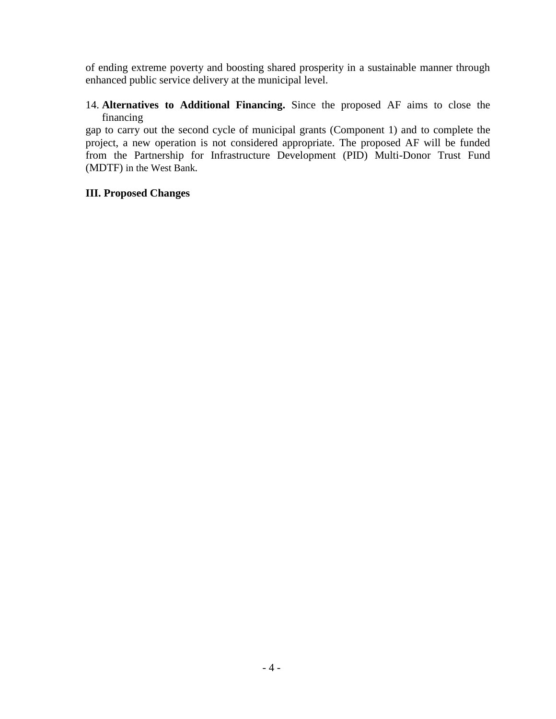of ending extreme poverty and boosting shared prosperity in a sustainable manner through enhanced public service delivery at the municipal level.

# 14. **Alternatives to Additional Financing.** Since the proposed AF aims to close the financing

gap to carry out the second cycle of municipal grants (Component 1) and to complete the project, a new operation is not considered appropriate. The proposed AF will be funded from the Partnership for Infrastructure Development (PID) Multi-Donor Trust Fund (MDTF) in the West Bank.

## **III. Proposed Changes**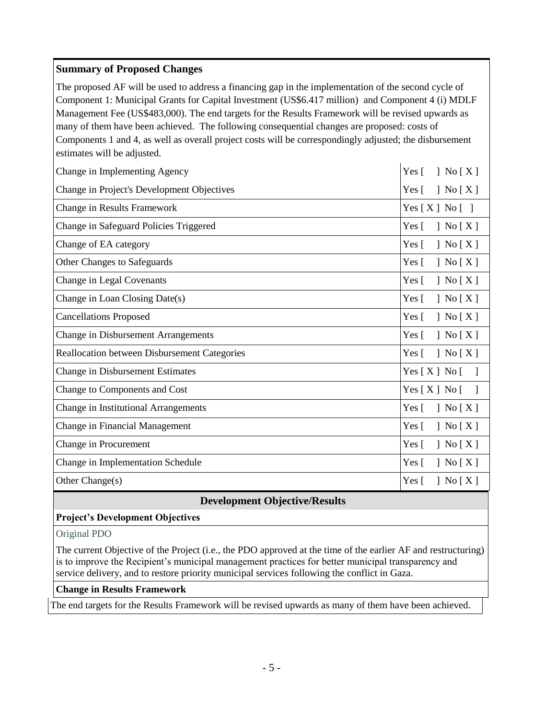# **Summary of Proposed Changes**

The proposed AF will be used to address a financing gap in the implementation of the second cycle of Component 1: Municipal Grants for Capital Investment (US\$6.417 million) and Component 4 (i) MDLF Management Fee (US\$483,000). The end targets for the Results Framework will be revised upwards as many of them have been achieved. The following consequential changes are proposed: costs of Components 1 and 4, as well as overall project costs will be correspondingly adjusted; the disbursement estimates will be adjusted.

| Change in Implementing Agency                       | $\vert$ No $\vert$ X $\vert$<br>Yes $\lceil$                                 |
|-----------------------------------------------------|------------------------------------------------------------------------------|
| Change in Project's Development Objectives          | Yes $\lceil$<br>$\left\vert \right.$ No $\left[ \right.$ X $\left. \right]$  |
| Change in Results Framework                         | Yes[X] No[]                                                                  |
| Change in Safeguard Policies Triggered              | Yes $\lceil$<br>$\left\{ \right.$ No $\left[ X \right]$                      |
| Change of EA category                               | Yes $\lceil$<br>$\vert$ No $\vert$ X $\vert$                                 |
| Other Changes to Safeguards                         | Yes $\lceil$<br>$\left[\right]$ No $\left[\right]$ X $\left[\right]$         |
| Change in Legal Covenants                           | Yes [<br>$\left[\right]$ No $\left[X\right]$                                 |
| Change in Loan Closing Date(s)                      | Yes $\lceil$<br>$\left\{ \right.$ No $\left[ X \right]$                      |
| <b>Cancellations Proposed</b>                       | $\left\{ \right.$ No $\left[ X \right]$<br>Yes $\lceil$                      |
| <b>Change in Disbursement Arrangements</b>          | $\left[ X \right]$<br>Yes $\lceil$                                           |
| <b>Reallocation between Disbursement Categories</b> | $\left\lceil \right.$ No $\left[ \right.$ X $\left. \right]$<br>Yes $\lceil$ |
| <b>Change in Disbursement Estimates</b>             | Yes [ X ] No [                                                               |
| Change to Components and Cost                       | Yes[X] No[                                                                   |
| Change in Institutional Arrangements                | $\left\vert \right.$ No $\left[ \right.$ X $\left. \right]$<br>Yes $\lceil$  |
| Change in Financial Management                      | Yes $\lceil$<br>$\left[\right]$ No $\left[\right]$ X $\left[\right]$         |
| Change in Procurement                               | Yes $\lceil$<br>$\left\{ \right.$ No $\left[ X \right]$                      |
| Change in Implementation Schedule                   | Yes $\lceil$<br>$\left  \right.$ No $\left[ \right.$ X $\left. \right]$      |
| Other Change(s)                                     | Yes $\lceil$<br>$\vert$ No $\vert$ X $\vert$                                 |

### **Development Objective/Results**

### **Project's Development Objectives**

Original PDO

The current Objective of the Project (i.e., the PDO approved at the time of the earlier AF and restructuring) is to improve the Recipient's municipal management practices for better municipal transparency and service delivery, and to restore priority municipal services following the conflict in Gaza.

#### **Change in Results Framework**

The end targets for the Results Framework will be revised upwards as many of them have been achieved.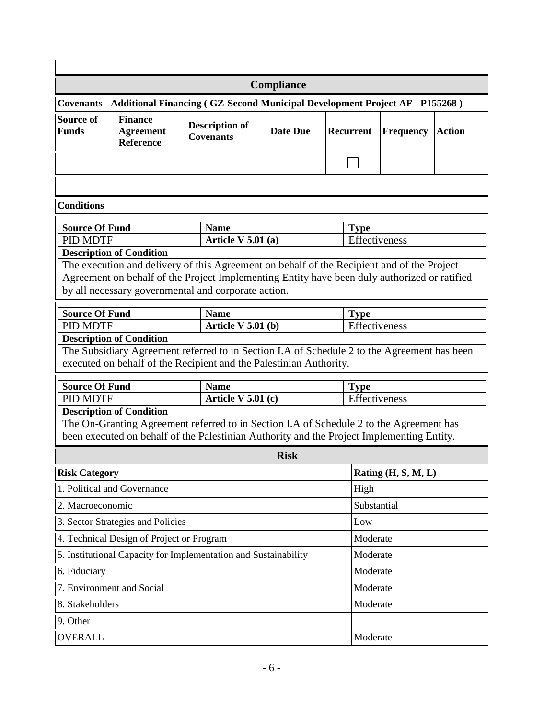| Compliance                                                                              |                                                                 |                                                                                                                                                                   |                                                              |               |                       |               |  |  |  |  |
|-----------------------------------------------------------------------------------------|-----------------------------------------------------------------|-------------------------------------------------------------------------------------------------------------------------------------------------------------------|--------------------------------------------------------------|---------------|-----------------------|---------------|--|--|--|--|
| Covenants - Additional Financing (GZ-Second Municipal Development Project AF - P155268) |                                                                 |                                                                                                                                                                   |                                                              |               |                       |               |  |  |  |  |
| <b>Source of</b><br><b>Funds</b>                                                        | <b>Finance</b><br><b>Agreement</b><br>Reference                 |                                                                                                                                                                   | <b>Description of</b><br><b>Date Due</b><br><b>Covenants</b> |               | <b>Frequency</b>      | <b>Action</b> |  |  |  |  |
|                                                                                         |                                                                 |                                                                                                                                                                   |                                                              |               |                       |               |  |  |  |  |
|                                                                                         |                                                                 |                                                                                                                                                                   |                                                              |               |                       |               |  |  |  |  |
| <b>Conditions</b>                                                                       |                                                                 |                                                                                                                                                                   |                                                              |               |                       |               |  |  |  |  |
| <b>Source Of Fund</b>                                                                   |                                                                 | <b>Name</b>                                                                                                                                                       |                                                              | <b>Type</b>   |                       |               |  |  |  |  |
| PID MDTF                                                                                |                                                                 | Article V $5.01$ (a)                                                                                                                                              |                                                              | Effectiveness |                       |               |  |  |  |  |
|                                                                                         | <b>Description of Condition</b>                                 |                                                                                                                                                                   |                                                              |               |                       |               |  |  |  |  |
|                                                                                         |                                                                 | The execution and delivery of this Agreement on behalf of the Recipient and of the Project                                                                        |                                                              |               |                       |               |  |  |  |  |
|                                                                                         |                                                                 | Agreement on behalf of the Project Implementing Entity have been duly authorized or ratified                                                                      |                                                              |               |                       |               |  |  |  |  |
|                                                                                         |                                                                 | by all necessary governmental and corporate action.                                                                                                               |                                                              |               |                       |               |  |  |  |  |
| <b>Source Of Fund</b>                                                                   |                                                                 | <b>Name</b>                                                                                                                                                       |                                                              | <b>Type</b>   |                       |               |  |  |  |  |
| PID MDTF                                                                                |                                                                 | Article $V$ 5.01 (b)                                                                                                                                              |                                                              | Effectiveness |                       |               |  |  |  |  |
|                                                                                         | <b>Description of Condition</b>                                 |                                                                                                                                                                   |                                                              |               |                       |               |  |  |  |  |
|                                                                                         |                                                                 | The Subsidiary Agreement referred to in Section I.A of Schedule 2 to the Agreement has been<br>executed on behalf of the Recipient and the Palestinian Authority. |                                                              |               |                       |               |  |  |  |  |
|                                                                                         |                                                                 |                                                                                                                                                                   |                                                              |               |                       |               |  |  |  |  |
| <b>Source Of Fund</b>                                                                   |                                                                 | <b>Name</b>                                                                                                                                                       |                                                              | <b>Type</b>   |                       |               |  |  |  |  |
| <b>PID MDTF</b>                                                                         |                                                                 | Article V $5.01$ (c)                                                                                                                                              |                                                              |               | Effectiveness         |               |  |  |  |  |
|                                                                                         | <b>Description of Condition</b>                                 | The On-Granting Agreement referred to in Section I.A of Schedule 2 to the Agreement has                                                                           |                                                              |               |                       |               |  |  |  |  |
|                                                                                         |                                                                 | been executed on behalf of the Palestinian Authority and the Project Implementing Entity.                                                                         |                                                              |               |                       |               |  |  |  |  |
|                                                                                         |                                                                 |                                                                                                                                                                   | <b>Risk</b>                                                  |               |                       |               |  |  |  |  |
| <b>Risk Category</b>                                                                    |                                                                 |                                                                                                                                                                   |                                                              |               | Rating $(H, S, M, L)$ |               |  |  |  |  |
|                                                                                         | 1. Political and Governance                                     |                                                                                                                                                                   |                                                              | High          |                       |               |  |  |  |  |
| 2. Macroeconomic                                                                        |                                                                 |                                                                                                                                                                   |                                                              |               | Substantial           |               |  |  |  |  |
|                                                                                         | 3. Sector Strategies and Policies                               |                                                                                                                                                                   |                                                              | Low           |                       |               |  |  |  |  |
|                                                                                         | 4. Technical Design of Project or Program                       |                                                                                                                                                                   | Moderate                                                     |               |                       |               |  |  |  |  |
|                                                                                         | 5. Institutional Capacity for Implementation and Sustainability | Moderate                                                                                                                                                          |                                                              |               |                       |               |  |  |  |  |
| 6. Fiduciary                                                                            |                                                                 |                                                                                                                                                                   | Moderate                                                     |               |                       |               |  |  |  |  |
|                                                                                         | 7. Environment and Social                                       |                                                                                                                                                                   | Moderate                                                     |               |                       |               |  |  |  |  |
| 8. Stakeholders                                                                         |                                                                 |                                                                                                                                                                   |                                                              |               | Moderate              |               |  |  |  |  |
| 9. Other                                                                                |                                                                 |                                                                                                                                                                   |                                                              |               |                       |               |  |  |  |  |
| <b>OVERALL</b>                                                                          |                                                                 | Moderate                                                                                                                                                          |                                                              |               |                       |               |  |  |  |  |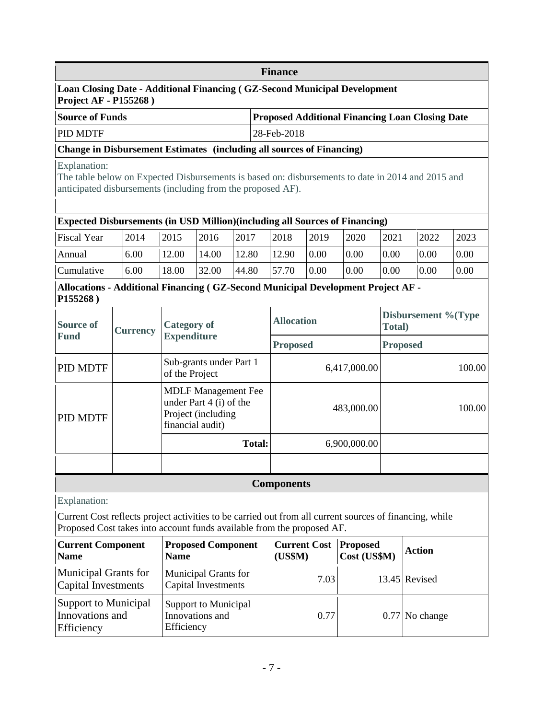|                                                                                                                                                                                   | <b>Finance</b>  |                    |                                                                             |               |                                                                   |                 |                 |                               |                  |      |  |
|-----------------------------------------------------------------------------------------------------------------------------------------------------------------------------------|-----------------|--------------------|-----------------------------------------------------------------------------|---------------|-------------------------------------------------------------------|-----------------|-----------------|-------------------------------|------------------|------|--|
| <b>Loan Closing Date - Additional Financing (GZ-Second Municipal Development</b><br><b>Project AF - P155268</b> )                                                                 |                 |                    |                                                                             |               |                                                                   |                 |                 |                               |                  |      |  |
| <b>Source of Funds</b>                                                                                                                                                            |                 |                    |                                                                             |               | <b>Proposed Additional Financing Loan Closing Date</b>            |                 |                 |                               |                  |      |  |
| PID MDTF                                                                                                                                                                          |                 |                    |                                                                             |               | 28-Feb-2018                                                       |                 |                 |                               |                  |      |  |
| <b>Change in Disbursement Estimates (including all sources of Financing)</b>                                                                                                      |                 |                    |                                                                             |               |                                                                   |                 |                 |                               |                  |      |  |
| Explanation:<br>The table below on Expected Disbursements is based on: disbursements to date in 2014 and 2015 and<br>anticipated disbursements (including from the proposed AF).  |                 |                    |                                                                             |               |                                                                   |                 |                 |                               |                  |      |  |
| <b>Expected Disbursements (in USD Million) (including all Sources of Financing)</b>                                                                                               |                 |                    |                                                                             |               |                                                                   |                 |                 |                               |                  |      |  |
| <b>Fiscal Year</b>                                                                                                                                                                | 2014            | 2015               | 2016                                                                        | 2017          | 2018                                                              | 2019            | 2020            | 2021                          | 2022             | 2023 |  |
| Annual                                                                                                                                                                            | 6.00            | 12.00              | 14.00                                                                       | 12.80         | 12.90                                                             | 0.00            | 0.00            | 0.00                          | 0.00             | 0.00 |  |
| Cumulative                                                                                                                                                                        | 6.00            | 18.00              | 32.00                                                                       | 44.80         | 57.70                                                             | 0.00            | 0.00            | 0.00                          | 0.00             | 0.00 |  |
| Allocations - Additional Financing (GZ-Second Municipal Development Project AF -<br>P155268)                                                                                      |                 |                    |                                                                             |               |                                                                   |                 |                 |                               |                  |      |  |
| <b>Source of</b>                                                                                                                                                                  | <b>Currency</b> | <b>Category of</b> |                                                                             |               | <b>Allocation</b>                                                 |                 |                 | Disbursement %(Type<br>Total) |                  |      |  |
| <b>Fund</b>                                                                                                                                                                       |                 |                    | <b>Expenditure</b>                                                          |               |                                                                   | <b>Proposed</b> |                 | <b>Proposed</b>               |                  |      |  |
| PID MDTF                                                                                                                                                                          |                 | of the Project     | Sub-grants under Part 1                                                     |               |                                                                   | 6,417,000.00    |                 |                               | 100.00           |      |  |
| PID MDTF                                                                                                                                                                          |                 | financial audit)   | <b>MDLF</b> Management Fee<br>under Part 4 (i) of the<br>Project (including |               |                                                                   |                 | 483,000.00      | 100.00                        |                  |      |  |
|                                                                                                                                                                                   |                 |                    |                                                                             | <b>Total:</b> |                                                                   | 6,900,000.00    |                 |                               |                  |      |  |
|                                                                                                                                                                                   |                 |                    |                                                                             |               |                                                                   |                 |                 |                               |                  |      |  |
|                                                                                                                                                                                   |                 |                    |                                                                             |               | <b>Components</b>                                                 |                 |                 |                               |                  |      |  |
| Explanation:                                                                                                                                                                      |                 |                    |                                                                             |               |                                                                   |                 |                 |                               |                  |      |  |
| Current Cost reflects project activities to be carried out from all current sources of financing, while<br>Proposed Cost takes into account funds available from the proposed AF. |                 |                    |                                                                             |               |                                                                   |                 |                 |                               |                  |      |  |
| <b>Proposed Component</b><br><b>Current Component</b><br><b>Name</b><br><b>Name</b>                                                                                               |                 |                    |                                                                             |               | <b>Current Cost</b><br><b>Proposed</b><br>(US\$M)<br>Cost (US\$M) |                 |                 | <b>Action</b>                 |                  |      |  |
| <b>Municipal Grants for</b><br>Municipal Grants for<br>Capital Investments<br><b>Capital Investments</b>                                                                          |                 |                    |                                                                             | 7.03          |                                                                   |                 | $13.45$ Revised |                               |                  |      |  |
| <b>Support to Municipal</b><br>Innovations and<br>Efficiency                                                                                                                      |                 | Efficiency         | <b>Support to Municipal</b><br>Innovations and                              |               |                                                                   | 0.77            |                 |                               | $0.77$ No change |      |  |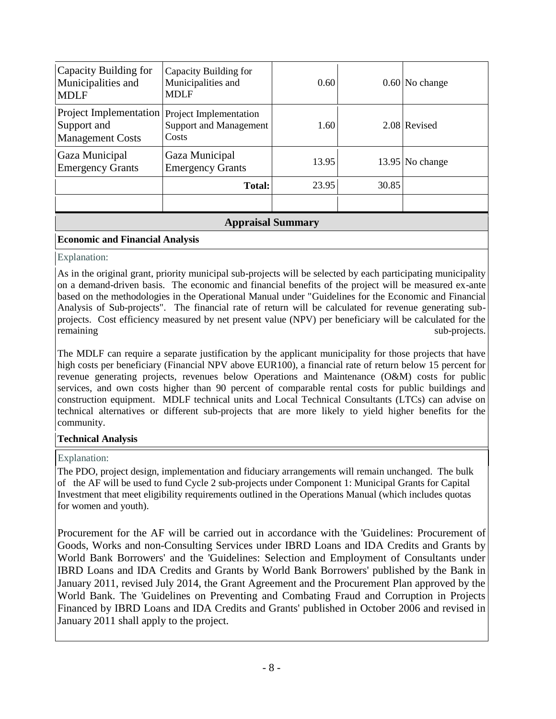| <b>MDLF</b><br>Project Implementation<br>Support and | <b>MDLF</b><br>Project Implementation<br>Support and Management | 1.60  |       | 2.08 Revised      |  |  |  |  |
|------------------------------------------------------|-----------------------------------------------------------------|-------|-------|-------------------|--|--|--|--|
| <b>Management Costs</b>                              | Costs                                                           |       |       |                   |  |  |  |  |
| Gaza Municipal<br><b>Emergency Grants</b>            | Gaza Municipal<br><b>Emergency Grants</b>                       | 13.95 |       | $13.95$ No change |  |  |  |  |
|                                                      | <b>Total:</b>                                                   | 23.95 | 30.85 |                   |  |  |  |  |
|                                                      |                                                                 |       |       |                   |  |  |  |  |
| <b>Appraisal Summary</b>                             |                                                                 |       |       |                   |  |  |  |  |

## **Economic and Financial Analysis**

#### Explanation:

As in the original grant, priority municipal sub-projects will be selected by each participating municipality on a demand-driven basis. The economic and financial benefits of the project will be measured ex-ante based on the methodologies in the Operational Manual under "Guidelines for the Economic and Financial Analysis of Sub-projects". The financial rate of return will be calculated for revenue generating subprojects. Cost efficiency measured by net present value (NPV) per beneficiary will be calculated for the remaining sub-projects.

The MDLF can require a separate justification by the applicant municipality for those projects that have high costs per beneficiary (Financial NPV above EUR100), a financial rate of return below 15 percent for revenue generating projects, revenues below Operations and Maintenance (O&M) costs for public services, and own costs higher than 90 percent of comparable rental costs for public buildings and construction equipment. MDLF technical units and Local Technical Consultants (LTCs) can advise on technical alternatives or different sub-projects that are more likely to yield higher benefits for the community.

# **Technical Analysis**

# Explanation:

The PDO, project design, implementation and fiduciary arrangements will remain unchanged. The bulk of the AF will be used to fund Cycle 2 sub-projects under Component 1: Municipal Grants for Capital Investment that meet eligibility requirements outlined in the Operations Manual (which includes quotas for women and youth).

Procurement for the AF will be carried out in accordance with the 'Guidelines: Procurement of Goods, Works and non-Consulting Services under IBRD Loans and IDA Credits and Grants by World Bank Borrowers' and the 'Guidelines: Selection and Employment of Consultants under IBRD Loans and IDA Credits and Grants by World Bank Borrowers' published by the Bank in January 2011, revised July 2014, the Grant Agreement and the Procurement Plan approved by the World Bank. The 'Guidelines on Preventing and Combating Fraud and Corruption in Projects Financed by IBRD Loans and IDA Credits and Grants' published in October 2006 and revised in January 2011 shall apply to the project.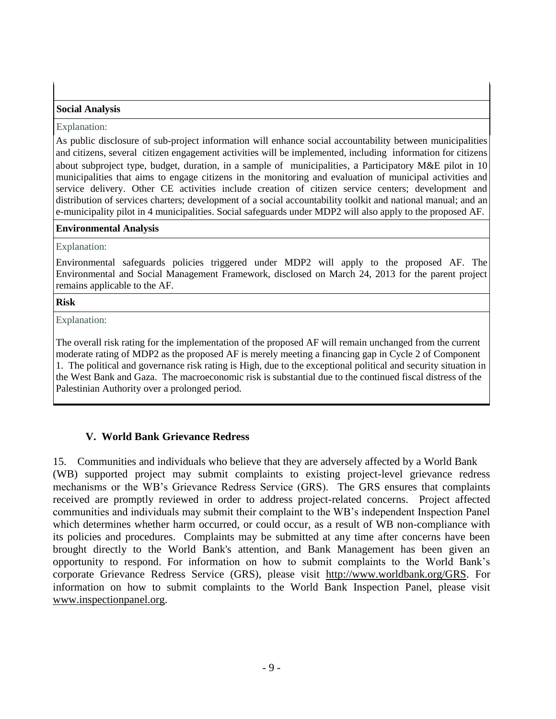### **Social Analysis**

#### Explanation:

As public disclosure of sub-project information will enhance social accountability between municipalities and citizens, several citizen engagement activities will be implemented, including information for citizens about subproject type, budget, duration, in a sample of municipalities, a Participatory M&E pilot in 10 municipalities that aims to engage citizens in the monitoring and evaluation of municipal activities and service delivery. Other CE activities include creation of citizen service centers; development and distribution of services charters; development of a social accountability toolkit and national manual; and an e-municipality pilot in 4 municipalities. Social safeguards under MDP2 will also apply to the proposed AF.

#### **Environmental Analysis**

#### Explanation:

Environmental safeguards policies triggered under MDP2 will apply to the proposed AF. The Environmental and Social Management Framework, disclosed on March 24, 2013 for the parent project remains applicable to the AF.

#### **Risk**

Explanation:

The overall risk rating for the implementation of the proposed AF will remain unchanged from the current moderate rating of MDP2 as the proposed AF is merely meeting a financing gap in Cycle 2 of Component 1. The political and governance risk rating is High, due to the exceptional political and security situation in the West Bank and Gaza. The macroeconomic risk is substantial due to the continued fiscal distress of the Palestinian Authority over a prolonged period.

# **V. World Bank Grievance Redress**

15. Communities and individuals who believe that they are adversely affected by a World Bank (WB) supported project may submit complaints to existing project-level grievance redress mechanisms or the WB's Grievance Redress Service (GRS). The GRS ensures that complaints received are promptly reviewed in order to address project-related concerns. Project affected communities and individuals may submit their complaint to the WB's independent Inspection Panel which determines whether harm occurred, or could occur, as a result of WB non-compliance with its policies and procedures. Complaints may be submitted at any time after concerns have been brought directly to the World Bank's attention, and Bank Management has been given an opportunity to respond. For information on how to submit complaints to the World Bank's corporate Grievance Redress Service (GRS), please visit [http://www.worldbank.org/GRS.](http://www.worldbank.org/GRS) For information on how to submit complaints to the World Bank Inspection Panel, please visit [www.inspectionpanel.org.](http://www.inspectionpanel.org/)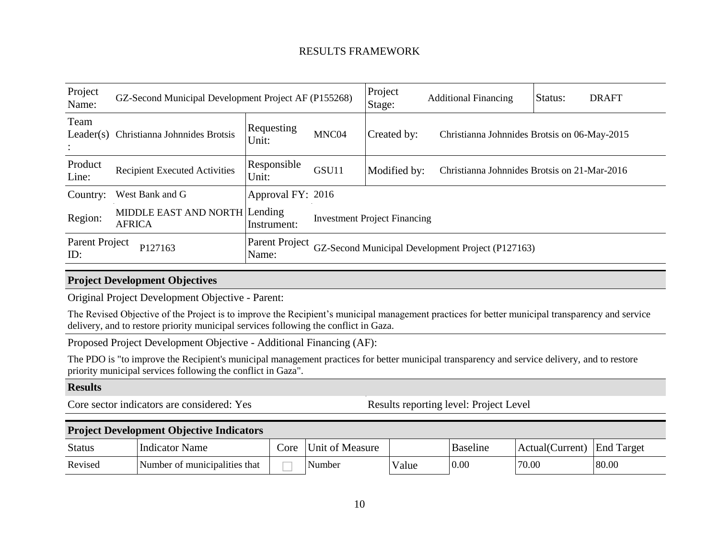# RESULTS FRAMEWORK

| Project<br>Name:      | GZ-Second Municipal Development Project AF (P155268) |                         |                                     | Project<br>Stage: | <b>Additional Financing</b>                       | Status:<br><b>DRAFT</b>                      |  |  |
|-----------------------|------------------------------------------------------|-------------------------|-------------------------------------|-------------------|---------------------------------------------------|----------------------------------------------|--|--|
| Team<br>Leader(s)     | Christianna Johnnides Brotsis                        | Requesting<br>Unit:     | MNC04                               | Created by:       |                                                   | Christianna Johnnides Brotsis on 06-May-2015 |  |  |
| Product<br>Line:      | <b>Recipient Executed Activities</b>                 | Responsible<br>Unit:    | GSU11                               | Modified by:      |                                                   | Christianna Johnnides Brotsis on 21-Mar-2016 |  |  |
| Country:              | West Bank and G                                      | Approval FY: 2016       |                                     |                   |                                                   |                                              |  |  |
| Region:               | MIDDLE EAST AND NORTH Lending<br><b>AFRICA</b>       | Instrument:             | <b>Investment Project Financing</b> |                   |                                                   |                                              |  |  |
| Parent Project<br>ID: | P127163                                              | Parent Project<br>Name: |                                     |                   | GZ-Second Municipal Development Project (P127163) |                                              |  |  |

# **Project Development Objectives**

Original Project Development Objective - Parent:

The Revised Objective of the Project is to improve the Recipient's municipal management practices for better municipal transparency and service delivery, and to restore priority municipal services following the conflict in Gaza.

Proposed Project Development Objective - Additional Financing (AF):

The PDO is "to improve the Recipient's municipal management practices for better municipal transparency and service delivery, and to restore priority municipal services following the conflict in Gaza".

#### **Results**

Core sector indicators are considered: Yes Results reporting level: Project Level

### **Project Development Objective Indicators**

| <b>Status</b> | Indicator Name                | Core | Unit of Measure        |       | <b>Baseline</b> | Actual(Current) | <b>End Target</b> |
|---------------|-------------------------------|------|------------------------|-------|-----------------|-----------------|-------------------|
| Revised       | Number of municipalities that |      | $\mathbf{v}$<br>Number | Value | 0.00            | 70.00           | 80.00             |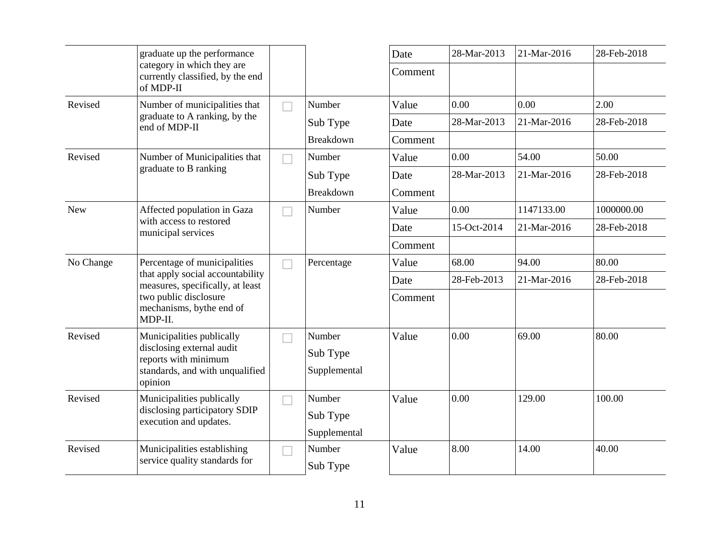|            | graduate up the performance                                                                                                                                          |  |                  | Date    | 28-Mar-2013 | 21-Mar-2016 | 28-Feb-2018 |
|------------|----------------------------------------------------------------------------------------------------------------------------------------------------------------------|--|------------------|---------|-------------|-------------|-------------|
|            | category in which they are<br>currently classified, by the end<br>of MDP-II                                                                                          |  |                  | Comment |             |             |             |
| Revised    | Number of municipalities that                                                                                                                                        |  | Number           | Value   | 0.00        | 0.00        | 2.00        |
|            | graduate to A ranking, by the<br>end of MDP-II                                                                                                                       |  | Sub Type         | Date    | 28-Mar-2013 | 21-Mar-2016 | 28-Feb-2018 |
|            |                                                                                                                                                                      |  | Breakdown        | Comment |             |             |             |
| Revised    | Number of Municipalities that                                                                                                                                        |  | Number           | Value   | 0.00        | 54.00       | 50.00       |
|            | graduate to B ranking                                                                                                                                                |  | Sub Type         | Date    | 28-Mar-2013 | 21-Mar-2016 | 28-Feb-2018 |
|            |                                                                                                                                                                      |  | <b>Breakdown</b> | Comment |             |             |             |
| <b>New</b> | Affected population in Gaza                                                                                                                                          |  | Number           | Value   | 0.00        | 1147133.00  | 1000000.00  |
|            | with access to restored<br>municipal services                                                                                                                        |  |                  | Date    | 15-Oct-2014 | 21-Mar-2016 | 28-Feb-2018 |
|            |                                                                                                                                                                      |  |                  | Comment |             |             |             |
| No Change  | Percentage of municipalities<br>that apply social accountability<br>measures, specifically, at least<br>two public disclosure<br>mechanisms, bythe end of<br>MDP-II. |  | Percentage       | Value   | 68.00       | 94.00       | 80.00       |
|            |                                                                                                                                                                      |  |                  | Date    | 28-Feb-2013 | 21-Mar-2016 | 28-Feb-2018 |
|            |                                                                                                                                                                      |  |                  | Comment |             |             |             |
| Revised    | Municipalities publically                                                                                                                                            |  | Number           | Value   | 0.00        | 69.00       | 80.00       |
|            | disclosing external audit<br>reports with minimum                                                                                                                    |  | Sub Type         |         |             |             |             |
|            | standards, and with unqualified<br>opinion                                                                                                                           |  | Supplemental     |         |             |             |             |
| Revised    | Municipalities publically                                                                                                                                            |  | Number           | Value   | $0.00\,$    | 129.00      | 100.00      |
|            | disclosing participatory SDIP<br>execution and updates.                                                                                                              |  | Sub Type         |         |             |             |             |
|            |                                                                                                                                                                      |  | Supplemental     |         |             |             |             |
| Revised    | Municipalities establishing                                                                                                                                          |  | Number           | Value   | 8.00        | 14.00       | 40.00       |
|            | service quality standards for                                                                                                                                        |  | Sub Type         |         |             |             |             |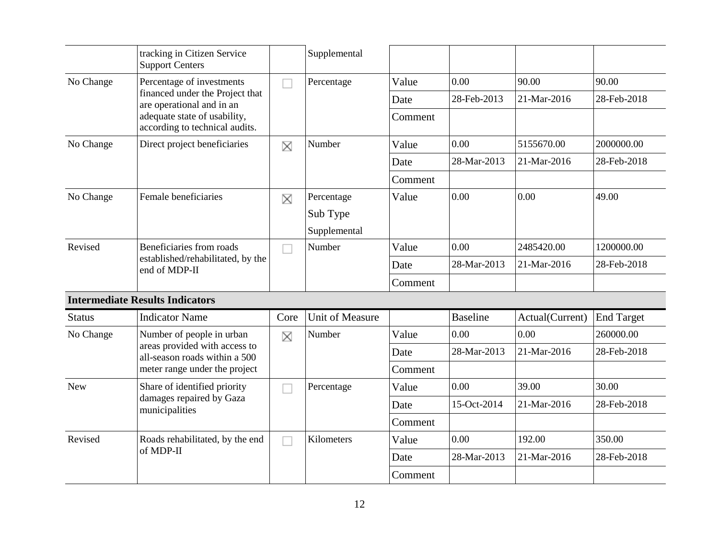|               | tracking in Citizen Service<br><b>Support Centers</b>                          |      | Supplemental           |         |                 |                 |                   |
|---------------|--------------------------------------------------------------------------------|------|------------------------|---------|-----------------|-----------------|-------------------|
| No Change     | Percentage of investments                                                      |      | Percentage             | Value   | 0.00            | 90.00           | 90.00             |
|               | financed under the Project that<br>are operational and in an                   |      |                        | Date    | 28-Feb-2013     | 21-Mar-2016     | 28-Feb-2018       |
|               | adequate state of usability,<br>according to technical audits.                 |      |                        | Comment |                 |                 |                   |
| No Change     | Direct project beneficiaries                                                   | X    | Number                 | Value   | 0.00            | 5155670.00      | 2000000.00        |
|               |                                                                                |      |                        | Date    | 28-Mar-2013     | 21-Mar-2016     | 28-Feb-2018       |
|               |                                                                                |      |                        | Comment |                 |                 |                   |
| No Change     | Female beneficiaries                                                           | X    | Percentage             | Value   | 0.00            | 0.00            | 49.00             |
|               |                                                                                |      | Sub Type               |         |                 |                 |                   |
|               |                                                                                |      | Supplemental           |         |                 |                 |                   |
| Revised       | Beneficiaries from roads<br>established/rehabilitated, by the<br>end of MDP-II |      | Number                 | Value   | 0.00            | 2485420.00      | 1200000.00        |
|               |                                                                                |      |                        | Date    | 28-Mar-2013     | 21-Mar-2016     | 28-Feb-2018       |
|               |                                                                                |      |                        | Comment |                 |                 |                   |
|               | <b>Intermediate Results Indicators</b>                                         |      |                        |         |                 |                 |                   |
| <b>Status</b> | <b>Indicator Name</b>                                                          | Core | <b>Unit of Measure</b> |         | <b>Baseline</b> | Actual(Current) | <b>End Target</b> |
| No Change     | Number of people in urban                                                      | X    | Number                 | Value   | 0.00            | 0.00            | 260000.00         |
|               | areas provided with access to<br>all-season roads within a 500                 |      |                        | Date    | 28-Mar-2013     | 21-Mar-2016     | 28-Feb-2018       |
|               | meter range under the project                                                  |      |                        | Comment |                 |                 |                   |
| <b>New</b>    | Share of identified priority                                                   |      | Percentage             | Value   | 0.00            | 39.00           | 30.00             |
|               | damages repaired by Gaza<br>municipalities                                     |      |                        | Date    | 15-Oct-2014     | 21-Mar-2016     | 28-Feb-2018       |
|               |                                                                                |      |                        | Comment |                 |                 |                   |
| Revised       | Roads rehabilitated, by the end                                                |      | Kilometers             | Value   | 0.00            | 192.00          | 350.00            |
|               | of MDP-II                                                                      |      |                        | Date    | 28-Mar-2013     | 21-Mar-2016     | 28-Feb-2018       |
|               |                                                                                |      |                        | Comment |                 |                 |                   |